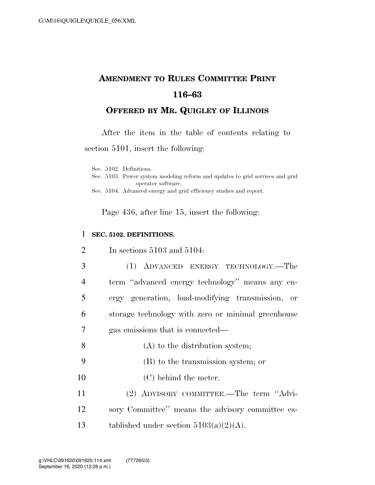## **AMENDMENT TO RULES COMMITTEE PRINT 116–63**

## **OFFERED BY MR. QUIGLEY OF ILLINOIS**

After the item in the table of contents relating to

section 5101, insert the following:

Sec. 5102. Definitions.

Sec. 5103. Power system modeling reform and updates to grid services and grid operator software.

Sec. 5104. Advanced energy and grid efficiency studies and report.

Page 436, after line 15, insert the following:

## 1 **SEC. 5102. DEFINITIONS.**

| 2              | In sections $5103$ and $5104$ :                    |
|----------------|----------------------------------------------------|
| 3              | (1) ADVANCED ENERGY TECHNOLOGY.—The                |
| $\overline{4}$ | term "advanced energy technology" means any en-    |
| 5              | ergy generation, load-modifying transmission, or   |
| 6              | storage technology with zero or minimal greenhouse |
| 7              | gas emissions that is connected—                   |
| 8              | (A) to the distribution system;                    |
| 9              | (B) to the transmission system; or                 |
| 10             | (C) behind the meter.                              |
| 11             | (2) ADVISORY COMMITTEE.—The term "Advi-            |
| 12             | sory Committee" means the advisory committee es-   |
| 13             | tablished under section $5103(a)(2)(A)$ .          |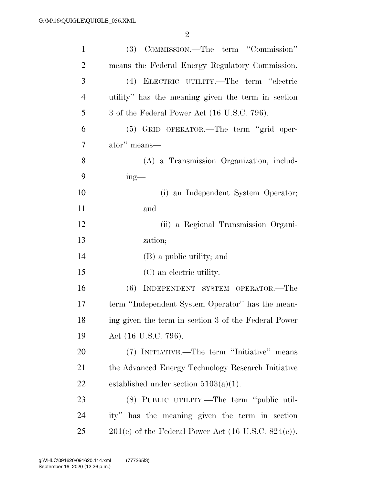| $\mathbf{1}$   | (3) COMMISSION.—The term "Commission"                 |
|----------------|-------------------------------------------------------|
| $\overline{2}$ | means the Federal Energy Regulatory Commission.       |
| 3              | (4) ELECTRIC UTILITY.—The term "electric              |
| $\overline{4}$ | utility" has the meaning given the term in section    |
| 5              | 3 of the Federal Power Act (16 U.S.C. 796).           |
| 6              | (5) GRID OPERATOR.—The term "grid oper-               |
| 7              | ator" means—                                          |
| 8              | (A) a Transmission Organization, includ-              |
| 9              | $ing$ —                                               |
| 10             | (i) an Independent System Operator;                   |
| 11             | and                                                   |
| 12             | (ii) a Regional Transmission Organi-                  |
| 13             | zation;                                               |
| 14             | (B) a public utility; and                             |
| 15             | (C) an electric utility.                              |
| 16             | (6)<br>INDEPENDENT SYSTEM OPERATOR.-The               |
| 17             | term "Independent System Operator" has the mean-      |
| 18             | ing given the term in section 3 of the Federal Power  |
| 19             | Act (16 U.S.C. 796).                                  |
| 20             | (7) INITIATIVE.—The term "Initiative" means           |
| 21             | the Advanced Energy Technology Research Initiative    |
| 22             | established under section $5103(a)(1)$ .              |
| 23             | (8) PUBLIC UTILITY.—The term "public util-            |
| 24             | ity" has the meaning given the term in section        |
| 25             | $201(e)$ of the Federal Power Act (16 U.S.C. 824(e)). |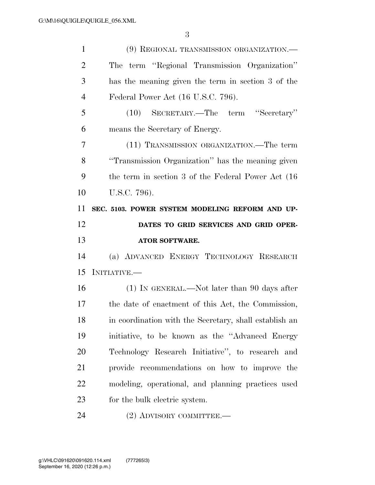| $\mathbf{1}$   | (9) REGIONAL TRANSMISSION ORGANIZATION.—               |
|----------------|--------------------------------------------------------|
| $\overline{2}$ | The term "Regional Transmission Organization"          |
| 3              | has the meaning given the term in section 3 of the     |
| $\overline{4}$ | Federal Power Act (16 U.S.C. 796).                     |
| 5              | (10) SECRETARY.—The term "Secretary"                   |
| 6              | means the Secretary of Energy.                         |
| 7              | (11) TRANSMISSION ORGANIZATION.—The term               |
| 8              | "Transmission Organization" has the meaning given      |
| 9              | the term in section 3 of the Federal Power Act (16)    |
| 10             | U.S.C. 796).                                           |
| 11             | SEC. 5103. POWER SYSTEM MODELING REFORM AND UP-        |
| 12             | DATES TO GRID SERVICES AND GRID OPER-                  |
|                |                                                        |
| 13             | <b>ATOR SOFTWARE.</b>                                  |
| 14             | (a) ADVANCED ENERGY TECHNOLOGY RESEARCH                |
| 15             | INITIATIVE.                                            |
| 16             | $(1)$ In GENERAL.—Not later than 90 days after         |
| 17             | the date of enactment of this Act, the Commission,     |
| 18             | in coordination with the Secretary, shall establish an |
| 19             | initiative, to be known as the "Advanced Energy"       |
| 20             | Technology Research Initiative", to research and       |
| 21             | provide recommendations on how to improve the          |
| 22             | modeling, operational, and planning practices used     |
| 23             | for the bulk electric system.                          |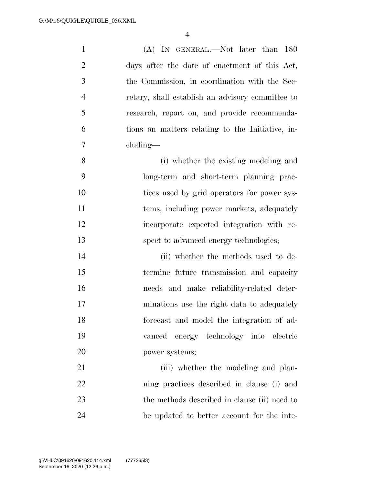| $\mathbf{1}$   | (A) IN GENERAL.—Not later than 180               |
|----------------|--------------------------------------------------|
| $\overline{2}$ | days after the date of enactment of this Act,    |
| 3              | the Commission, in coordination with the Sec-    |
| $\overline{4}$ | retary, shall establish an advisory committee to |
| 5              | research, report on, and provide recommenda-     |
| 6              | tions on matters relating to the Initiative, in- |
| 7              | cluding—                                         |
| 8              | (i) whether the existing modeling and            |
| 9              | long-term and short-term planning prac-          |
| 10             | tices used by grid operators for power sys-      |
| 11             | tems, including power markets, adequately        |
| 12             | incorporate expected integration with re-        |
| 13             | spect to advanced energy technologies;           |
| 14             | (ii) whether the methods used to de-             |
| 15             | termine future transmission and capacity         |
| 16             | needs and make reliability-related deter-        |
| 17             | minations use the right data to adequately       |
| 18             | forecast and model the integration of ad-        |
| 19             | vanced energy technology into electric           |
| 20             | power systems;                                   |
| 21             | (iii) whether the modeling and plan-             |
| 22             | ning practices described in clause (i) and       |
| 23             | the methods described in clause (ii) need to     |
| 24             |                                                  |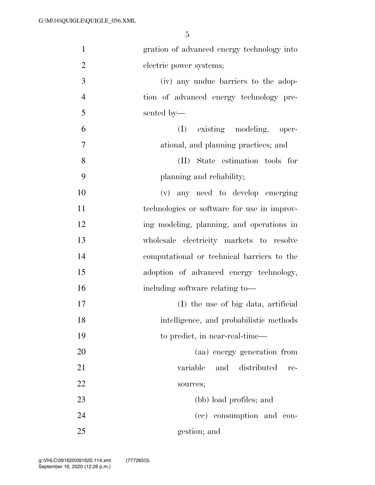| $\mathbf{1}$   | gration of advanced energy technology into  |
|----------------|---------------------------------------------|
| $\overline{2}$ | electric power systems;                     |
| 3              | (iv) any undue barriers to the adop-        |
| $\overline{4}$ | tion of advanced energy technology pre-     |
| 5              | sented by—                                  |
| 6              | (I) existing modeling, oper-                |
| 7              | ational, and planning practices; and        |
| 8              | State estimation tools for<br>(II)          |
| 9              | planning and reliability;                   |
| 10             | (v) any need to develop emerging            |
| 11             | technologies or software for use in improv- |
| 12             | ing modeling, planning, and operations in   |
| 13             | wholesale electricity markets to resolve    |
| 14             | computational or technical barriers to the  |
| 15             | adoption of advanced energy technology,     |
| 16             | including software relating to-             |
| 17             | (I) the use of big data, artificial         |
| 18             | intelligence, and probabilistic methods     |
| 19             | to predict, in near-real-time—              |
| 20             | (aa) energy generation from                 |
| 21             | and<br>distributed<br>variable<br>re-       |
| 22             | sources;                                    |
| 23             | (bb) load profiles; and                     |
| 24             | (cc) consumption and con-                   |
| 25             | gestion; and                                |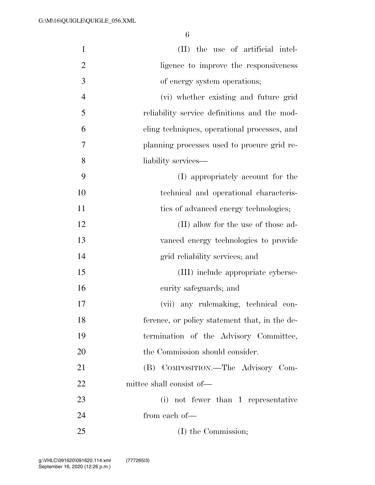| $\mathbf{1}$   | (II) the use of artificial intel-             |
|----------------|-----------------------------------------------|
| $\overline{2}$ | ligence to improve the responsiveness         |
| 3              | of energy system operations;                  |
| $\overline{4}$ | (vi) whether existing and future grid         |
| 5              | reliability service definitions and the mod-  |
| 6              | eling techniques, operational processes, and  |
| 7              | planning processes used to procure grid re-   |
| 8              | liability services—                           |
| 9              | (I) appropriately account for the             |
| 10             | technical and operational characteris-        |
| 11             | ties of advanced energy technologies;         |
| 12             | (II) allow for the use of those ad-           |
| 13             | vanced energy technologies to provide         |
| 14             | grid reliability services; and                |
| 15             | (III) include appropriate cyberse-            |
| 16             | curity safeguards; and                        |
| 17             | (vii) any rulemaking, technical con-          |
| 18             | ference, or policy statement that, in the de- |
| 19             | termination of the Advisory Committee,        |
| 20             | the Commission should consider.               |
| 21             | (B) COMPOSITION.-The Advisory Com-            |
| 22             | mittee shall consist of—                      |
| 23             | (i) not fewer than 1 representative           |
| 24             | from each of—                                 |
| 25             | (I) the Commission;                           |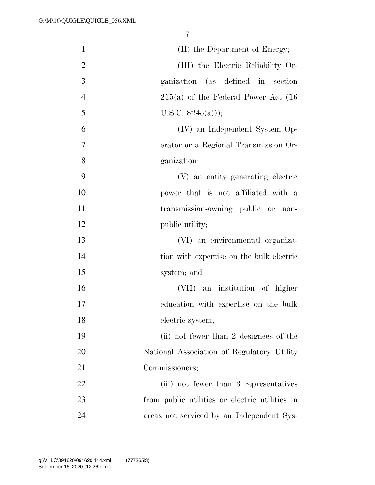| $\mathbf{1}$   | (II) the Department of Energy;                 |
|----------------|------------------------------------------------|
| $\overline{2}$ | (III) the Electric Reliability Or-             |
| 3              | ganization (as defined in section              |
| $\overline{4}$ | $215(a)$ of the Federal Power Act $(16)$       |
| 5              | U.S.C. $824o(a))$ ;                            |
| 6              | (IV) an Independent System Op-                 |
| 7              | erator or a Regional Transmission Or-          |
| 8              | ganization;                                    |
| 9              | (V) an entity generating electric              |
| 10             | power that is not affiliated with a            |
| 11             | transmission-owning public or non-             |
| 12             | public utility;                                |
| 13             | (VI) an environmental organiza-                |
| 14             | tion with expertise on the bulk electric       |
| 15             | system; and                                    |
| 16             | (VII) an institution of higher                 |
| 17             | education with expertise on the bulk           |
| 18             | electric system;                               |
| 19             | (ii) not fewer than 2 designees of the         |
| 20             | National Association of Regulatory Utility     |
| 21             | Commissioners;                                 |
| 22             | (iii) not fewer than 3 representatives         |
| 23             | from public utilities or electric utilities in |
| 24             | areas not serviced by an Independent Sys-      |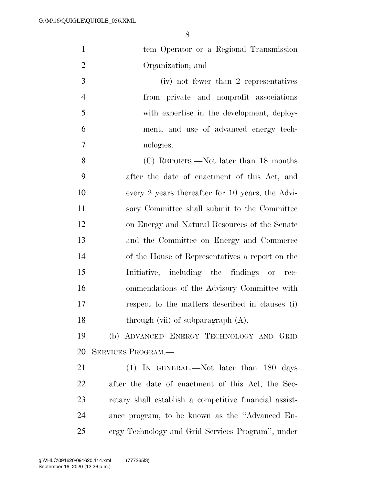| $\mathbf{1}$   | tem Operator or a Regional Transmission                |
|----------------|--------------------------------------------------------|
| $\overline{2}$ | Organization; and                                      |
| 3              | (iv) not fewer than 2 representatives                  |
| $\overline{4}$ | from private and nonprofit associations                |
| 5              | with expertise in the development, deploy-             |
| 6              | ment, and use of advanced energy tech-                 |
| 7              | nologies.                                              |
| 8              | (C) REPORTS.—Not later than 18 months                  |
| 9              | after the date of enactment of this Act, and           |
| 10             | every 2 years thereafter for 10 years, the Advi-       |
| 11             | sory Committee shall submit to the Committee           |
| 12             | on Energy and Natural Resources of the Senate          |
| 13             | and the Committee on Energy and Commerce               |
| 14             | of the House of Representatives a report on the        |
| 15             | Initiative, including the findings or rec-             |
| 16             | ommendations of the Advisory Committee with            |
| 17             | respect to the matters described in clauses (i)        |
| 18             | through (vii) of subparagraph $(A)$ .                  |
| 19             | (b) ADVANCED ENERGY TECHNOLOGY AND GRID                |
| 20             | <b>SERVICES PROGRAM.—</b>                              |
| 21             | (1) IN GENERAL.—Not later than 180 days                |
| 22             | after the date of enactment of this Act, the Sec-      |
| 23             | retary shall establish a competitive financial assist- |
| 24             | ance program, to be known as the "Advanced En-         |
| 25             | ergy Technology and Grid Services Program", under      |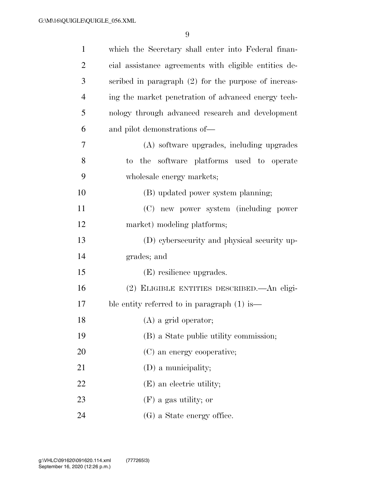| $\mathbf{1}$   | which the Secretary shall enter into Federal finan-   |
|----------------|-------------------------------------------------------|
| $\overline{2}$ | cial assistance agreements with eligible entities de- |
| 3              | scribed in paragraph (2) for the purpose of increas-  |
| $\overline{4}$ | ing the market penetration of advanced energy tech-   |
| 5              | nology through advanced research and development      |
| 6              | and pilot demonstrations of—                          |
| 7              | (A) software upgrades, including upgrades             |
| 8              | to the software platforms used to operate             |
| 9              | wholesale energy markets;                             |
| 10             | (B) updated power system planning;                    |
| 11             | (C) new power system (including power                 |
| 12             | market) modeling platforms;                           |
| 13             | (D) cybersecurity and physical security up-           |
| 14             | grades; and                                           |
| 15             | (E) resilience upgrades.                              |
| 16             | (2) ELIGIBLE ENTITIES DESCRIBED.—An eligi-            |
| 17             | ble entity referred to in paragraph $(1)$ is —        |
| 18             | (A) a grid operator;                                  |
| 19             | (B) a State public utility commission;                |
| 20             | (C) an energy cooperative;                            |
| 21             | (D) a municipality;                                   |
| 22             | (E) an electric utility;                              |
| 23             | $(F)$ a gas utility; or                               |
| 24             | (G) a State energy office.                            |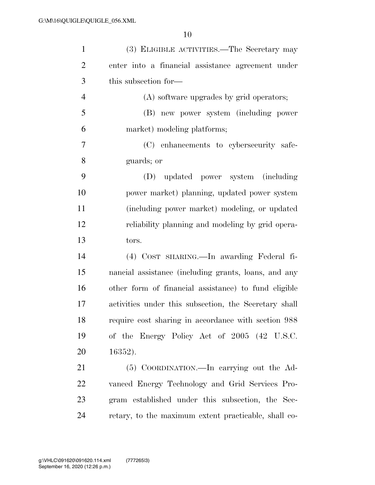| $\mathbf{1}$   | (3) ELIGIBLE ACTIVITIES.—The Secretary may            |
|----------------|-------------------------------------------------------|
| $\mathfrak{2}$ | enter into a financial assistance agreement under     |
| 3              | this subsection for—                                  |
| $\overline{4}$ | (A) software upgrades by grid operators;              |
| 5              | (B) new power system (including power                 |
| 6              | market) modeling platforms;                           |
| $\tau$         | (C) enhancements to cybersecurity safe-               |
| 8              | guards; or                                            |
| 9              | (D) updated power system (including                   |
| 10             | power market) planning, updated power system          |
| 11             | (including power market) modeling, or updated         |
| 12             | reliability planning and modeling by grid opera-      |
| 13             | tors.                                                 |
| 14             | (4) COST SHARING. - In awarding Federal fi-           |
| 15             | nancial assistance (including grants, loans, and any  |
| 16             | other form of financial assistance) to fund eligible  |
| 17             | activities under this subsection, the Secretary shall |
| 18             | require cost sharing in accordance with section 988   |
| 19             | of the Energy Policy Act of 2005 (42 U.S.C.           |
| 20             | 16352).                                               |
| 21             | (5) COORDINATION.—In carrying out the Ad-             |
| 22             | vanced Energy Technology and Grid Services Pro-       |
| 23             | gram established under this subsection, the Sec-      |
| 24             | retary, to the maximum extent practicable, shall co-  |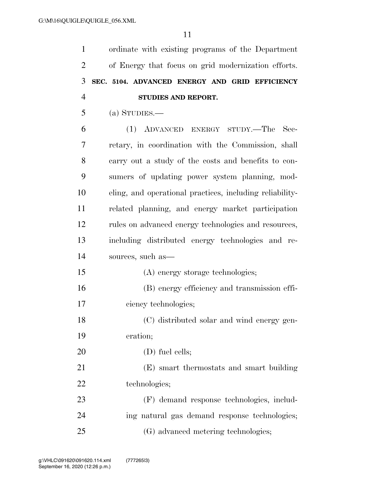ordinate with existing programs of the Department of Energy that focus on grid modernization efforts. **SEC. 5104. ADVANCED ENERGY AND GRID EFFICIENCY STUDIES AND REPORT.** 

(a) STUDIES.—

 (1) ADVANCED ENERGY STUDY.—The Sec- retary, in coordination with the Commission, shall carry out a study of the costs and benefits to con- sumers of updating power system planning, mod- eling, and operational practices, including reliability- related planning, and energy market participation rules on advanced energy technologies and resources, including distributed energy technologies and re- sources, such as— (A) energy storage technologies; (B) energy efficiency and transmission effi- ciency technologies; (C) distributed solar and wind energy gen- eration; 20 (D) fuel cells; (E) smart thermostats and smart building technologies; (F) demand response technologies, includ-ing natural gas demand response technologies;

(G) advanced metering technologies;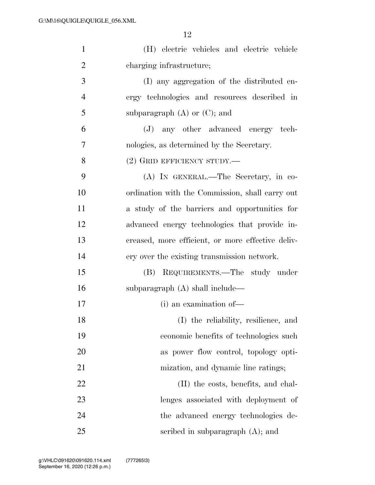| $\mathbf{1}$   | (H) electric vehicles and electric vehicle        |
|----------------|---------------------------------------------------|
| $\overline{2}$ | charging infrastructure;                          |
| 3              | (I) any aggregation of the distributed en-        |
| $\overline{4}$ | ergy technologies and resources described in      |
| 5              | subparagraph $(A)$ or $(C)$ ; and                 |
| 6              | (J) any other advanced energy tech-               |
| 7              | nologies, as determined by the Secretary.         |
| 8              | $(2)$ GRID EFFICIENCY STUDY.—                     |
| 9              | (A) IN GENERAL.—The Secretary, in co-             |
| 10             | ordination with the Commission, shall carry out   |
| 11             | a study of the barriers and opportunities for     |
| 12             | advanced energy technologies that provide in-     |
| 13             | creased, more efficient, or more effective deliv- |
| 14             | ery over the existing transmission network.       |
| 15             | (B) REQUIREMENTS.—The study under                 |
| 16             | subparagraph $(A)$ shall include—                 |
| 17             | (i) an examination of-                            |
| 18             | (I) the reliability, resilience, and              |
| 19             | economic benefits of technologies such            |
| 20             | as power flow control, topology opti-             |
| 21             | mization, and dynamic line ratings;               |
| 22             | (II) the costs, benefits, and chal-               |
| 23             | lenges associated with deployment of              |
| 24             | the advanced energy technologies de-              |
| 25             | scribed in subparagraph $(A)$ ; and               |